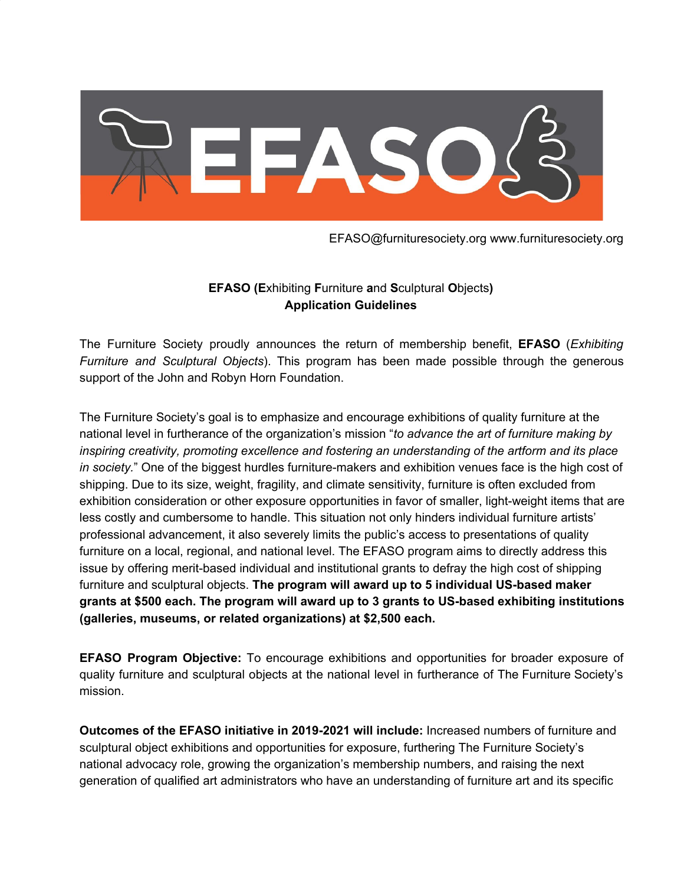

EFASO@furnituresociety.org www.furnituresociety.org

# **EFASO (E**xhibiting **F**urniture **a**nd **S**culptural **O**bjects**) Application Guidelines**

The Furniture Society proudly announces the return of membership benefit, **EFASO** (*Exhibiting Furniture and Sculptural Objects*). This program has been made possible through the generous support of the John and Robyn Horn Foundation.

The Furniture Society's goal is to emphasize and encourage exhibitions of quality furniture at the national level in furtherance of the organization's mission "*to advance the art of furniture making by inspiring creativity, promoting excellence and fostering an understanding of the artform and its place in society.*" One of the biggest hurdles furniture-makers and exhibition venues face is the high cost of shipping. Due to its size, weight, fragility, and climate sensitivity, furniture is often excluded from exhibition consideration or other exposure opportunities in favor of smaller, light-weight items that are less costly and cumbersome to handle. This situation not only hinders individual furniture artists' professional advancement, it also severely limits the public's access to presentations of quality furniture on a local, regional, and national level. The EFASO program aims to directly address this issue by offering merit-based individual and institutional grants to defray the high cost of shipping furniture and sculptural objects. **The program will award up to 5 individual US-based maker grants at \$500 each. The program will award up to 3 grants to US-based exhibiting institutions (galleries, museums, or related organizations) at \$2,500 each.**

**EFASO Program Objective:** To encourage exhibitions and opportunities for broader exposure of quality furniture and sculptural objects at the national level in furtherance of The Furniture Society's mission.

**Outcomes of the EFASO initiative in 2019-2021 will include:** Increased numbers of furniture and sculptural object exhibitions and opportunities for exposure, furthering The Furniture Society's national advocacy role, growing the organization's membership numbers, and raising the next generation of qualified art administrators who have an understanding of furniture art and its specific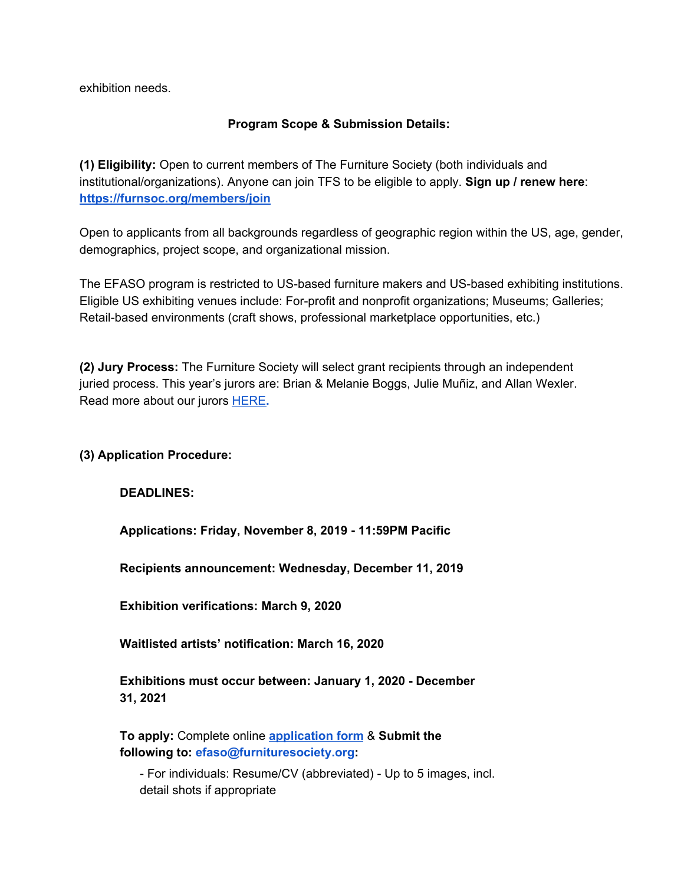exhibition needs.

## **Program Scope & Submission Details:**

**(1) Eligibility:** Open to current members of The Furniture Society (both individuals and institutional/organizations). Anyone can join TFS to be eligible to apply. **Sign up / renew here**: **<https://furnsoc.org/members/join>**

Open to applicants from all backgrounds regardless of geographic region within the US, age, gender, demographics, project scope, and organizational mission.

The EFASO program is restricted to US-based furniture makers and US-based exhibiting institutions. Eligible US exhibiting venues include: For-profit and nonprofit organizations; Museums; Galleries; Retail-based environments (craft shows, professional marketplace opportunities, etc.)

**(2) Jury Process:** The Furniture Society will select grant recipients through an independent juried process. This year's jurors are: Brian & Melanie Boggs, Julie Muñiz, and Allan Wexler. Read more about our jurors [HERE](https://furnsoc.org/events/grants/efaso/2020-exhibiting-art-and-sculptural-objects/2020-efaso-jurors)**.**

**(3) Application Procedure:**

**DEADLINES:**

**Applications: Friday, November 8, 2019 - 11:59PM Pacific**

**Recipients announcement: Wednesday, December 11, 2019**

**Exhibition verifications: March 9, 2020**

**Waitlisted artists' notification: March 16, 2020**

**Exhibitions must occur between: January 1, 2020 - December 31, 2021**

**To apply:** Complete online **[application](https://docs.google.com/forms/d/1lefgeRVAPi9VuHrMIwLQJz9bZqb7EMFENBNexdVZrEg/edit) form** & **Submit the following to: efaso@furnituresociety.org:**

- For individuals: Resume/CV (abbreviated) - Up to 5 images, incl. detail shots if appropriate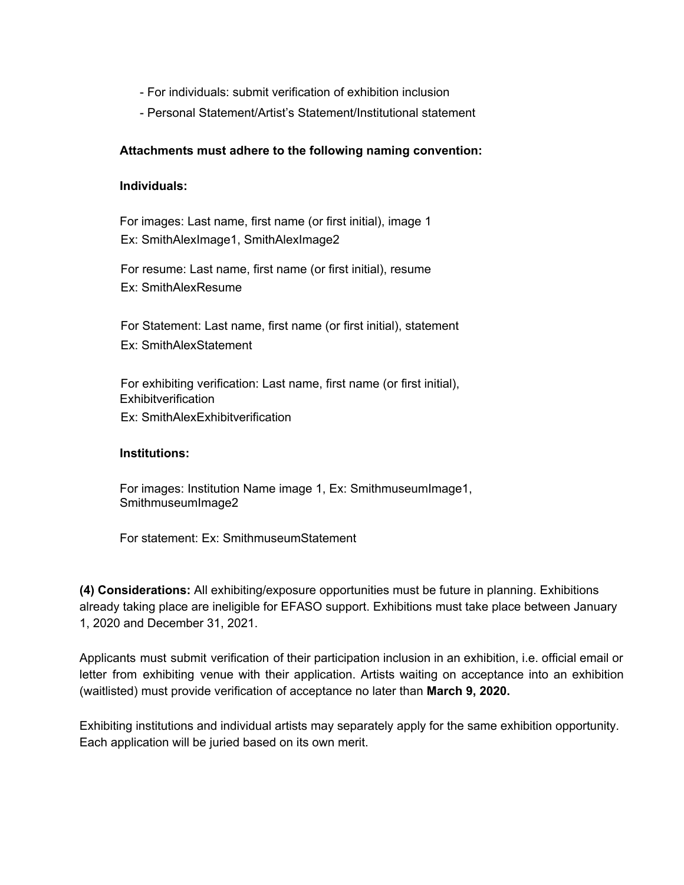- For individuals: submit verification of exhibition inclusion
- Personal Statement/Artist's Statement/Institutional statement

### **Attachments must adhere to the following naming convention:**

#### **Individuals:**

For images: Last name, first name (or first initial), image 1 Ex: SmithAlexImage1, SmithAlexImage2

For resume: Last name, first name (or first initial), resume Ex: SmithAlexResume

For Statement: Last name, first name (or first initial), statement Ex: SmithAlexStatement

For exhibiting verification: Last name, first name (or first initial), **Exhibitverification** Ex: SmithAlexExhibitverification

### **Institutions:**

For images: Institution Name image 1, Ex: SmithmuseumImage1, SmithmuseumImage2

For statement: Ex: SmithmuseumStatement

**(4) Considerations:** All exhibiting/exposure opportunities must be future in planning. Exhibitions already taking place are ineligible for EFASO support. Exhibitions must take place between January 1, 2020 and December 31, 2021.

Applicants must submit verification of their participation inclusion in an exhibition, i.e. official email or letter from exhibiting venue with their application. Artists waiting on acceptance into an exhibition (waitlisted) must provide verification of acceptance no later than **March 9, 2020.**

Exhibiting institutions and individual artists may separately apply for the same exhibition opportunity. Each application will be juried based on its own merit.